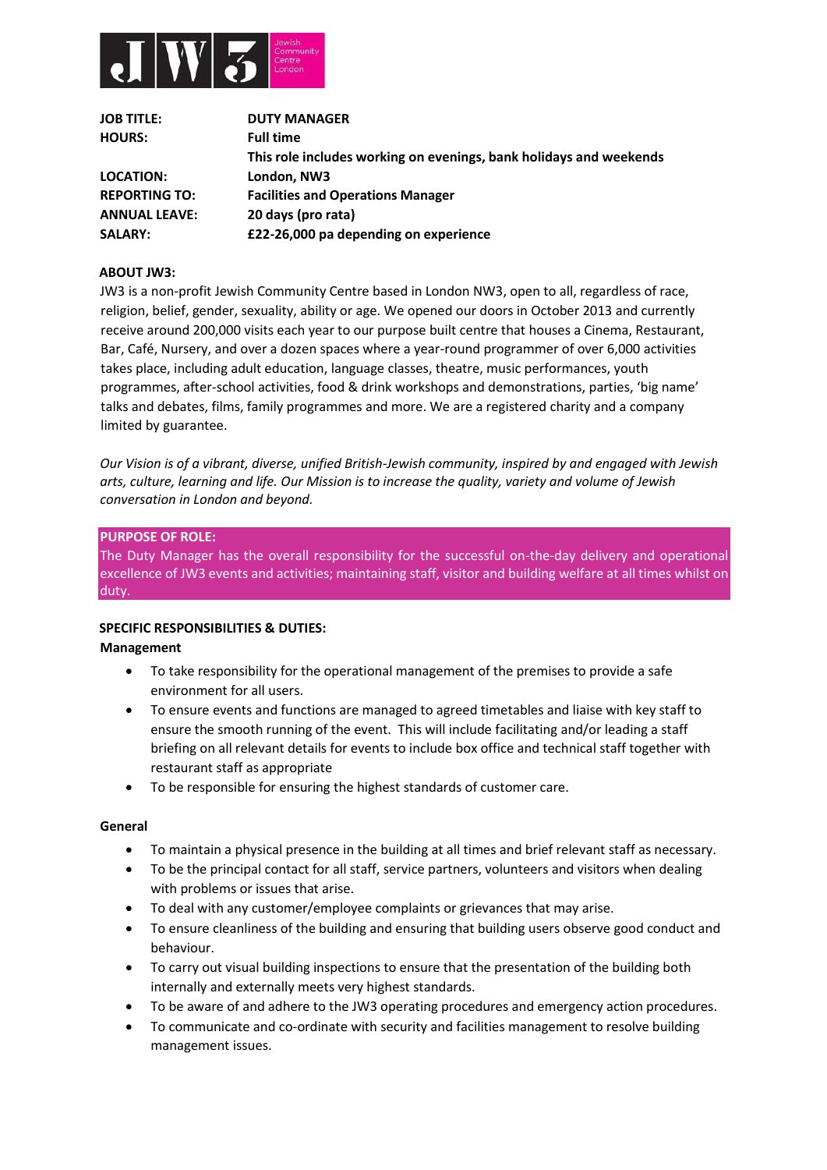

| <b>JOB TITLE:</b>    | <b>DUTY MANAGER</b>                                                |
|----------------------|--------------------------------------------------------------------|
| <b>HOURS:</b>        | <b>Full time</b>                                                   |
|                      | This role includes working on evenings, bank holidays and weekends |
| <b>LOCATION:</b>     | London, NW3                                                        |
| <b>REPORTING TO:</b> | <b>Facilities and Operations Manager</b>                           |
| <b>ANNUAL LEAVE:</b> | 20 days (pro rata)                                                 |
| <b>SALARY:</b>       | £22-26,000 pa depending on experience                              |

#### **ABOUT JW3:**

JW3 is a non-profit Jewish Community Centre based in London NW3, open to all, regardless of race, religion, belief, gender, sexuality, ability or age. We opened our doors in October 2013 and currently receive around 200,000 visits each year to our purpose built centre that houses a Cinema, Restaurant, Bar, Café, Nursery, and over a dozen spaces where a year-round programmer of over 6,000 activities takes place, including adult education, language classes, theatre, music performances, youth programmes, after-school activities, food & drink workshops and demonstrations, parties, 'big name' talks and debates, films, family programmes and more. We are a registered charity and a company limited by guarantee.

*Our Vision is of a vibrant, diverse, unified British-Jewish community, inspired by and engaged with Jewish arts, culture, learning and life. Our Mission is to increase the quality, variety and volume of Jewish conversation in London and beyond.* 

#### **PURPOSE OF ROLE:**

The Duty Manager has the overall responsibility for the successful on-the-day delivery and operational excellence of JW3 events and activities; maintaining staff, visitor and building welfare at all times whilst on duty.

#### **SPECIFIC RESPONSIBILITIES & DUTIES:**

#### **Management**

- To take responsibility for the operational management of the premises to provide a safe environment for all users.
- To ensure events and functions are managed to agreed timetables and liaise with key staff to ensure the smooth running of the event. This will include facilitating and/or leading a staff briefing on all relevant details for events to include box office and technical staff together with restaurant staff as appropriate
- To be responsible for ensuring the highest standards of customer care.

#### **General**

- To maintain a physical presence in the building at all times and brief relevant staff as necessary.
- To be the principal contact for all staff, service partners, volunteers and visitors when dealing with problems or issues that arise.
- To deal with any customer/employee complaints or grievances that may arise.
- To ensure cleanliness of the building and ensuring that building users observe good conduct and behaviour.
- To carry out visual building inspections to ensure that the presentation of the building both internally and externally meets very highest standards.
- To be aware of and adhere to the JW3 operating procedures and emergency action procedures.
- To communicate and co-ordinate with security and facilities management to resolve building management issues.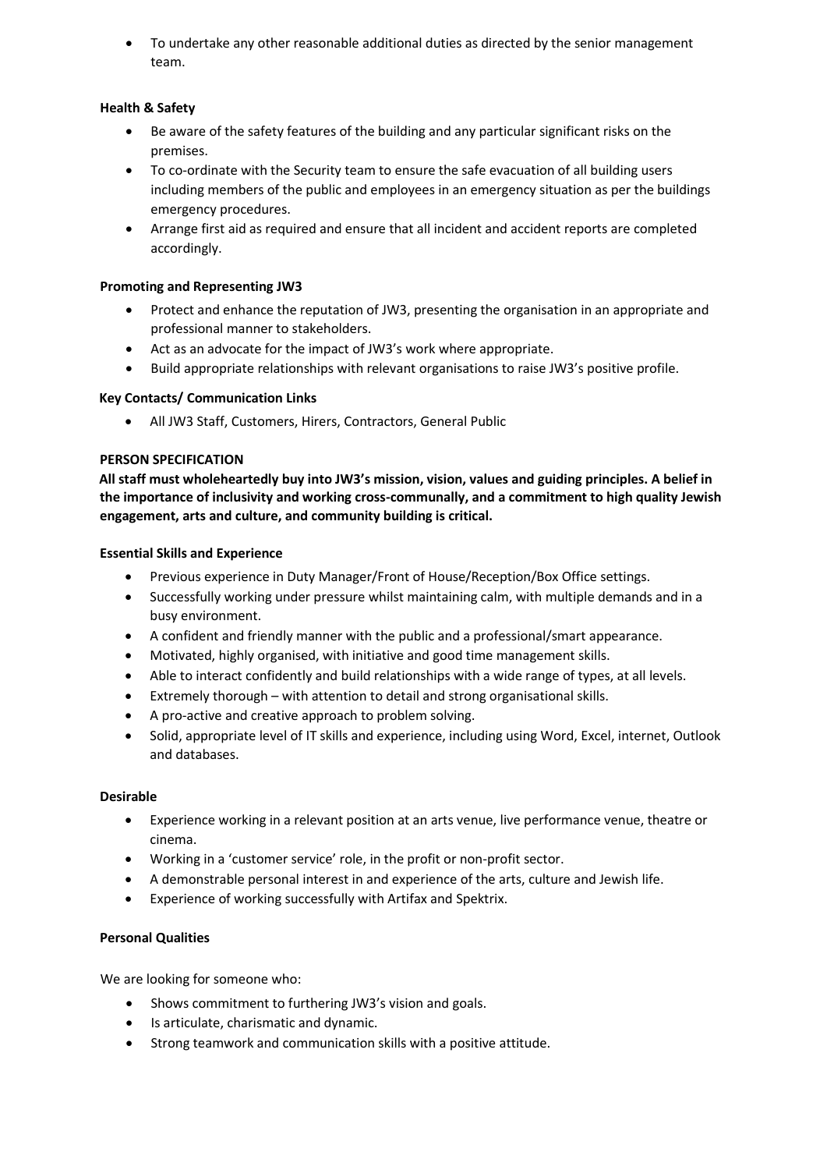• To undertake any other reasonable additional duties as directed by the senior management team.

# **Health & Safety**

- Be aware of the safety features of the building and any particular significant risks on the premises.
- To co-ordinate with the Security team to ensure the safe evacuation of all building users including members of the public and employees in an emergency situation as per the buildings emergency procedures.
- Arrange first aid as required and ensure that all incident and accident reports are completed accordingly.

### **Promoting and Representing JW3**

- Protect and enhance the reputation of JW3, presenting the organisation in an appropriate and professional manner to stakeholders.
- Act as an advocate for the impact of JW3's work where appropriate.
- Build appropriate relationships with relevant organisations to raise JW3's positive profile.

### **Key Contacts/ Communication Links**

• All JW3 Staff, Customers, Hirers, Contractors, General Public

## **PERSON SPECIFICATION**

**All staff must wholeheartedly buy into JW3's mission, vision, values and guiding principles. A belief in the importance of inclusivity and working cross-communally, and a commitment to high quality Jewish engagement, arts and culture, and community building is critical.** 

## **Essential Skills and Experience**

- Previous experience in Duty Manager/Front of House/Reception/Box Office settings.
- Successfully working under pressure whilst maintaining calm, with multiple demands and in a busy environment.
- A confident and friendly manner with the public and a professional/smart appearance.
- Motivated, highly organised, with initiative and good time management skills.
- Able to interact confidently and build relationships with a wide range of types, at all levels.
- Extremely thorough with attention to detail and strong organisational skills.
- A pro-active and creative approach to problem solving.
- Solid, appropriate level of IT skills and experience, including using Word, Excel, internet, Outlook and databases.

### **Desirable**

- Experience working in a relevant position at an arts venue, live performance venue, theatre or cinema.
- Working in a 'customer service' role, in the profit or non-profit sector.
- A demonstrable personal interest in and experience of the arts, culture and Jewish life.
- Experience of working successfully with Artifax and Spektrix.

### **Personal Qualities**

We are looking for someone who:

- Shows commitment to furthering JW3's vision and goals.
- Is articulate, charismatic and dynamic.
- Strong teamwork and communication skills with a positive attitude.